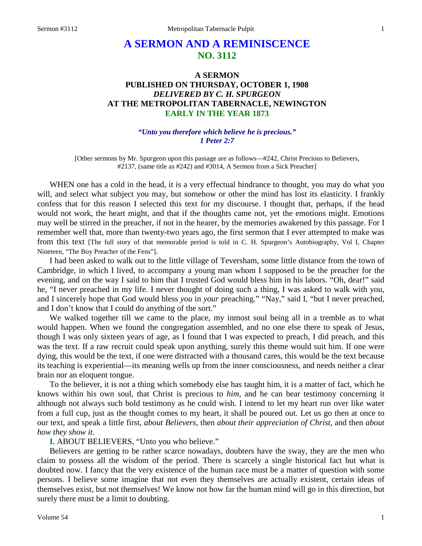# **A SERMON AND A REMINISCENCE NO. 3112**

# **A SERMON PUBLISHED ON THURSDAY, OCTOBER 1, 1908** *DELIVERED BY C. H. SPURGEON* **AT THE METROPOLITAN TABERNACLE, NEWINGTON EARLY IN THE YEAR 1873**

#### *"Unto you therefore which believe he is precious." 1 Peter 2:7*

[Other sermons by Mr. Spurgeon upon this passage are as follows—#242, Christ Precious to Believers, #2137, (same title as #242) and #3014, A Sermon from a Sick Preacher]

WHEN one has a cold in the head, it is a very effectual hindrance to thought, you may do what you will, and select what subject you may, but somehow or other the mind has lost its elasticity. I frankly confess that for this reason I selected this text for my discourse. I thought that, perhaps, if the head would not work, the heart might, and that if the thoughts came not, yet the emotions might. Emotions may well be stirred in the preacher, if not in the hearer, by the memories awakened by this passage. For I remember well that, more than twenty-two years ago, the first sermon that I ever attempted to make was from this text [The full story of that memorable period is told in C. H. Spurgeon's Autobiography, Vol I, Chapter Nineteen, "The Boy Preacher of the Fens"].

I had been asked to walk out to the little village of Teversham, some little distance from the town of Cambridge, in which I lived, to accompany a young man whom I supposed to be the preacher for the evening, and on the way I said to him that I trusted God would bless him in his labors. "Oh, dear!" said he, "I never preached in my life. I never thought of doing such a thing, I was asked to walk with you, and I sincerely hope that God would bless *you* in *your* preaching." "Nay," said I, "but I never preached, and I don't know that I could do anything of the sort."

We walked together till we came to the place, my inmost soul being all in a tremble as to what would happen. When we found the congregation assembled, and no one else there to speak of Jesus, though I was only sixteen years of age, as I found that I was expected to preach, I did preach, and this was the text. If a raw recruit could speak upon anything, surely this theme would suit him. If one were dying, this would be the text, if one were distracted with a thousand cares, this would be the text because its teaching is experiential—its meaning wells up from the inner consciousness, and needs neither a clear brain nor an eloquent tongue.

To the believer, it is not a thing which somebody else has taught him, it is a matter of fact, which he knows within his own soul, that Christ is precious to *him,* and he can bear testimony concerning it although not always such bold testimony as he could wish. I intend to let my heart run over like water from a full cup, just as the thought comes to my heart, it shall be poured out. Let us go then at once to our text, and speak a little first, *about Believers,* then *about their appreciation of Christ,* and then *about how they show it.* 

#### **I.** ABOUT BELIEVERS, "Unto you who believe."

Believers are getting to be rather scarce nowadays, doubters have the sway, they are the men who claim to possess all the wisdom of the period. There is scarcely a single historical fact but what is doubted now. I fancy that the very existence of the human race must be a matter of question with some persons. I believe some imagine that not even they themselves are actually existent, certain ideas of themselves exist, but not themselves! We know not how far the human mind will go in this direction, but surely there must be a limit to doubting.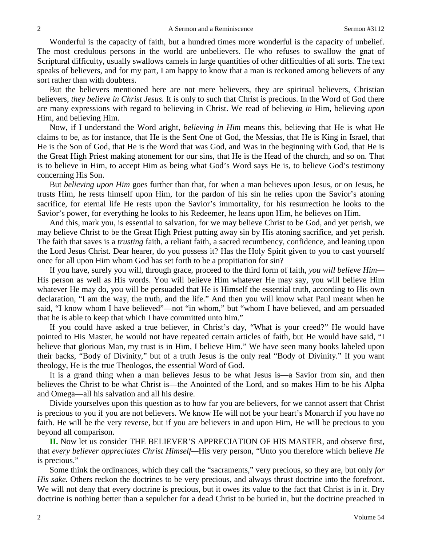Wonderful is the capacity of faith, but a hundred times more wonderful is the capacity of unbelief. The most credulous persons in the world are unbelievers. He who refuses to swallow the gnat of Scriptural difficulty, usually swallows camels in large quantities of other difficulties of all sorts. The text speaks of believers, and for my part, I am happy to know that a man is reckoned among believers of any sort rather than with doubters.

But the believers mentioned here are not mere believers, they are spiritual believers, Christian believers, *they believe in Christ Jesus.* It is only to such that Christ is precious. In the Word of God there are many expressions with regard to believing in Christ. We read of believing *in* Him, believing *upon*  Him, and believing Him.

Now, if I understand the Word aright, *believing in Him* means this, believing that He is what He claims to be, as for instance, that He is the Sent One of God, the Messias, that He is King in Israel, that He is the Son of God, that He is the Word that was God, and Was in the beginning with God, that He is the Great High Priest making atonement for our sins, that He is the Head of the church, and so on. That is to believe in Him, to accept Him as being what God's Word says He is, to believe God's testimony concerning His Son.

But *believing upon Him* goes further than that, for when a man believes upon Jesus, or on Jesus, he trusts Him, he rests himself upon Him, for the pardon of his sin he relies upon the Savior's atoning sacrifice, for eternal life He rests upon the Savior's immortality, for his resurrection he looks to the Savior's power, for everything he looks to his Redeemer, he leans upon Him, he believes on Him.

And this, mark you, is essential to salvation, for we may believe Christ to be God, and yet perish, we may believe Christ to be the Great High Priest putting away sin by His atoning sacrifice, and yet perish. The faith that saves is a *trusting* faith, a reliant faith, a sacred recumbency, confidence, and leaning upon the Lord Jesus Christ. Dear hearer, do you possess it? Has the Holy Spirit given to you to cast yourself once for all upon Him whom God has set forth to be a propitiation for sin?

If you have, surely you will, through grace, proceed to the third form of faith, *you will believe Him—* His person as well as His words. You will believe Him whatever He may say, you will believe Him whatever He may do, you will be persuaded that He is Himself the essential truth, according to His own declaration, "I am the way, the truth, and the life." And then you will know what Paul meant when he said, "I know whom I have believed"—not "in whom," but "whom I have believed, and am persuaded that he is able to keep that which I have committed unto him."

If you could have asked a true believer, in Christ's day, "What is your creed?" He would have pointed to His Master, he would not have repeated certain articles of faith, but He would have said, "I believe that glorious Man, my trust is in Him, I believe Him." We have seen many books labeled upon their backs, "Body of Divinity," but of a truth Jesus is the only real "Body of Divinity." If you want theology, He is the true Theologos, the essential Word of God.

It is a grand thing when a man believes Jesus to be what Jesus is—a Savior from sin, and then believes the Christ to be what Christ is—the Anointed of the Lord, and so makes Him to be his Alpha and Omega—all his salvation and all his desire.

Divide yourselves upon this question as to how far you are believers, for we cannot assert that Christ is precious to you if you are not believers. We know He will not be your heart's Monarch if you have no faith. He will be the very reverse, but if you are believers in and upon Him, He will be precious to you beyond all comparison.

**II.** Now let us consider THE BELIEVER'S APPRECIATION OF HIS MASTER, and observe first, that *every believer appreciates Christ Himself—*His very person, "Unto you therefore which believe *He*  is precious."

Some think the ordinances, which they call the "sacraments," very precious, so they are, but only *for His sake.* Others reckon the doctrines to be very precious, and always thrust doctrine into the forefront. We will not deny that every doctrine is precious, but it owes its value to the fact that Christ is in it. Dry doctrine is nothing better than a sepulcher for a dead Christ to be buried in, but the doctrine preached in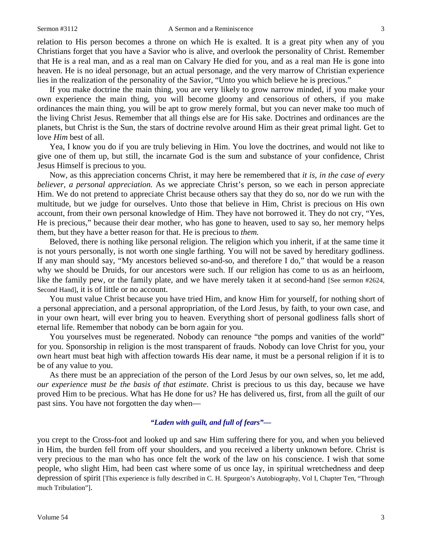relation to His person becomes a throne on which He is exalted. It is a great pity when any of you Christians forget that you have a Savior who is alive, and overlook the personality of Christ. Remember that He is a real man, and as a real man on Calvary He died for you, and as a real man He is gone into heaven. He is no ideal personage, but an actual personage, and the very marrow of Christian experience lies in the realization of the personality of the Savior, "Unto you which believe he is precious."

If you make doctrine the main thing, you are very likely to grow narrow minded, if you make your own experience the main thing, you will become gloomy and censorious of others, if you make ordinances the main thing, you will be apt to grow merely formal, but you can never make too much of the living Christ Jesus. Remember that all things else are for His sake. Doctrines and ordinances are the planets, but Christ is the Sun, the stars of doctrine revolve around Him as their great primal light. Get to love *Him* best of all.

Yea, I know you do if you are truly believing in Him. You love the doctrines, and would not like to give one of them up, but still, the incarnate God is the sum and substance of your confidence, Christ Jesus Himself is precious to you.

Now, as this appreciation concerns Christ, it may here be remembered that *it is, in the case of every believer, a personal appreciation.* As we appreciate Christ's person, so we each in person appreciate Him. We do not pretend to appreciate Christ because others say that they do so, nor do we run with the multitude, but we judge for ourselves. Unto those that believe in Him, Christ is precious on His own account, from their own personal knowledge of Him. They have not borrowed it. They do not cry, "Yes, He is precious," because their dear mother, who has gone to heaven, used to say so, her memory helps them, but they have a better reason for that. He is precious to *them.* 

Beloved, there is nothing like personal religion. The religion which you inherit, if at the same time it is not yours personally, is not worth one single farthing. You will not be saved by hereditary godliness. If any man should say, "My ancestors believed so-and-so, and therefore I do," that would be a reason why we should be Druids, for our ancestors were such. If our religion has come to us as an heirloom, like the family pew, or the family plate, and we have merely taken it at second-hand [See sermon #2624, Second Hand], it is of little or no account.

You must value Christ because you have tried Him, and know Him for yourself, for nothing short of a personal appreciation, and a personal appropriation, of the Lord Jesus, by faith, to your own case, and in your own heart, will ever bring you to heaven. Everything short of personal godliness falls short of eternal life. Remember that nobody can be born again for you.

You yourselves must be regenerated. Nobody can renounce "the pomps and vanities of the world" for you. Sponsorship in religion is the most transparent of frauds. Nobody can love Christ for you, your own heart must beat high with affection towards His dear name, it must be a personal religion if it is to be of any value to you.

As there must be an appreciation of the person of the Lord Jesus by our own selves, so, let me add, *our experience must be the basis of that estimate*. Christ is precious to us this day, because we have proved Him to be precious. What has He done for us? He has delivered us, first, from all the guilt of our past sins. You have not forgotten the day when—

## *"Laden with guilt, and full of fears"—*

you crept to the Cross-foot and looked up and saw Him suffering there for you, and when you believed in Him, the burden fell from off your shoulders, and you received a liberty unknown before. Christ is very precious to the man who has once felt the work of the law on his conscience. I wish that some people, who slight Him, had been cast where some of us once lay, in spiritual wretchedness and deep depression of spirit [This experience is fully described in C. H. Spurgeon's Autobiography, Vol I, Chapter Ten, "Through much Tribulation"].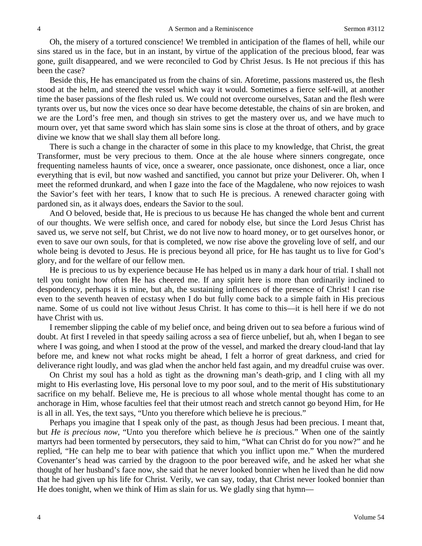Oh, the misery of a tortured conscience! We trembled in anticipation of the flames of hell, while our sins stared us in the face, but in an instant, by virtue of the application of the precious blood, fear was gone, guilt disappeared, and we were reconciled to God by Christ Jesus. Is He not precious if this has been the case?

Beside this, He has emancipated us from the chains of sin. Aforetime, passions mastered us, the flesh stood at the helm, and steered the vessel which way it would. Sometimes a fierce self-will, at another time the baser passions of the flesh ruled us. We could not overcome ourselves, Satan and the flesh were tyrants over us, but now the vices once so dear have become detestable, the chains of sin are broken, and we are the Lord's free men, and though sin strives to get the mastery over us, and we have much to mourn over, yet that same sword which has slain some sins is close at the throat of others, and by grace divine we know that we shall slay them all before long.

There is such a change in the character of some in this place to my knowledge, that Christ, the great Transformer, must be very precious to them. Once at the ale house where sinners congregate, once frequenting nameless haunts of vice, once a swearer, once passionate, once dishonest, once a liar, once everything that is evil, but now washed and sanctified, you cannot but prize your Deliverer. Oh, when I meet the reformed drunkard, and when I gaze into the face of the Magdalene, who now rejoices to wash the Savior's feet with her tears, I know that to such He is precious. A renewed character going with pardoned sin, as it always does, endears the Savior to the soul.

And O beloved, beside that, He is precious to us because He has changed the whole bent and current of our thoughts. We were selfish once, and cared for nobody else, but since the Lord Jesus Christ has saved us, we serve not self, but Christ, we do not live now to hoard money, or to get ourselves honor, or even to save our own souls, for that is completed, we now rise above the groveling love of self, and our whole being is devoted to Jesus. He is precious beyond all price, for He has taught us to live for God's glory, and for the welfare of our fellow men.

He is precious to us by experience because He has helped us in many a dark hour of trial. I shall not tell you tonight how often He has cheered me. If any spirit here is more than ordinarily inclined to despondency, perhaps it is mine, but ah, the sustaining influences of the presence of Christ! I can rise even to the seventh heaven of ecstasy when I do but fully come back to a simple faith in His precious name. Some of us could not live without Jesus Christ. It has come to this—it is hell here if we do not have Christ with us.

I remember slipping the cable of my belief once, and being driven out to sea before a furious wind of doubt. At first I reveled in that speedy sailing across a sea of fierce unbelief, but ah, when I began to see where I was going, and when I stood at the prow of the vessel, and marked the dreary cloud-land that lay before me, and knew not what rocks might be ahead, I felt a horror of great darkness, and cried for deliverance right loudly, and was glad when the anchor held fast again, and my dreadful cruise was over.

On Christ my soul has a hold as tight as the drowning man's death-grip, and I cling with all my might to His everlasting love, His personal love to my poor soul, and to the merit of His substitutionary sacrifice on my behalf. Believe me, He is precious to all whose whole mental thought has come to an anchorage in Him, whose faculties feel that their utmost reach and stretch cannot go beyond Him, for He is all in all. Yes, the text says, "Unto you therefore which believe he is precious."

Perhaps you imagine that I speak only of the past, as though Jesus had been precious. I meant that, but *He is precious now,* "Unto you therefore which believe he *is* precious." When one of the saintly martyrs had been tormented by persecutors, they said to him, "What can Christ do for you now?" and he replied, "He can help me to bear with patience that which you inflict upon me." When the murdered Covenanter's head was carried by the dragoon to the poor bereaved wife, and he asked her what she thought of her husband's face now, she said that he never looked bonnier when he lived than he did now that he had given up his life for Christ. Verily, we can say, today, that Christ never looked bonnier than He does tonight, when we think of Him as slain for us. We gladly sing that hymn—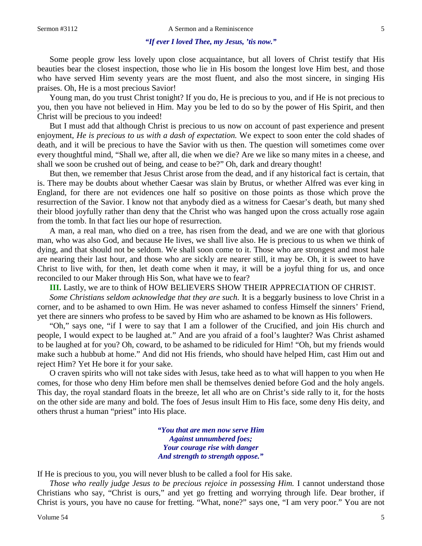#### *"If ever I loved Thee, my Jesus, 'tis now."*

Some people grow less lovely upon close acquaintance, but all lovers of Christ testify that His beauties bear the closest inspection, those who lie in His bosom the longest love Him best, and those who have served Him seventy years are the most fluent, and also the most sincere, in singing His praises. Oh, He is a most precious Savior!

Young man, do you trust Christ tonight? If you do, He is precious to you, and if He is not precious to you, then you have not believed in Him. May you be led to do so by the power of His Spirit, and then Christ will be precious to you indeed!

But I must add that although Christ is precious to us now on account of past experience and present enjoyment, *He is precious to us with a dash of expectation.* We expect to soon enter the cold shades of death, and it will be precious to have the Savior with us then. The question will sometimes come over every thoughtful mind, "Shall we, after all, die when we die? Are we like so many mites in a cheese, and shall we soon be crushed out of being, and cease to be?" Oh, dark and dreary thought!

But then, we remember that Jesus Christ arose from the dead, and if any historical fact is certain, that is. There may be doubts about whether Caesar was slain by Brutus, or whether Alfred was ever king in England, for there are not evidences one half so positive on those points as those which prove the resurrection of the Savior. I know not that anybody died as a witness for Caesar's death, but many shed their blood joyfully rather than deny that the Christ who was hanged upon the cross actually rose again from the tomb. In that fact lies our hope of resurrection.

A man, a real man, who died on a tree, has risen from the dead, and we are one with that glorious man, who was also God, and because He lives, we shall live also. He is precious to us when we think of dying, and that should not be seldom. We shall soon come to it. Those who are strongest and most hale are nearing their last hour, and those who are sickly are nearer still, it may be. Oh, it is sweet to have Christ to live with, for then, let death come when it may, it will be a joyful thing for us, and once reconciled to our Maker through His Son, what have we to fear?

**III.** Lastly, we are to think of HOW BELIEVERS SHOW THEIR APPRECIATION OF CHRIST.

*Some Christians seldom acknowledge that they are such.* It is a beggarly business to love Christ in a corner, and to be ashamed to own Him. He was never ashamed to confess Himself the sinners' Friend, yet there are sinners who profess to be saved by Him who are ashamed to be known as His followers.

"Oh," says one, "if I were to say that I am a follower of the Crucified, and join His church and people, I would expect to be laughed at." And are you afraid of a fool's laughter? Was Christ ashamed to be laughed at for you? Oh, coward, to be ashamed to be ridiculed for Him! "Oh, but my friends would make such a hubbub at home." And did not His friends, who should have helped Him, cast Him out and reject Him? Yet He bore it for your sake.

O craven spirits who will not take sides with Jesus, take heed as to what will happen to you when He comes, for those who deny Him before men shall be themselves denied before God and the holy angels. This day, the royal standard floats in the breeze, let all who are on Christ's side rally to it, for the hosts on the other side are many and bold. The foes of Jesus insult Him to His face, some deny His deity, and others thrust a human "priest" into His place.

> *"You that are men now serve Him Against unnumbered foes; Your courage rise with danger And strength to strength oppose."*

If He is precious to you, you will never blush to be called a fool for His sake.

*Those who really judge Jesus to be precious rejoice in possessing Him.* I cannot understand those Christians who say, "Christ is ours," and yet go fretting and worrying through life. Dear brother, if Christ is yours, you have no cause for fretting. "What, none?" says one, "I am very poor." You are not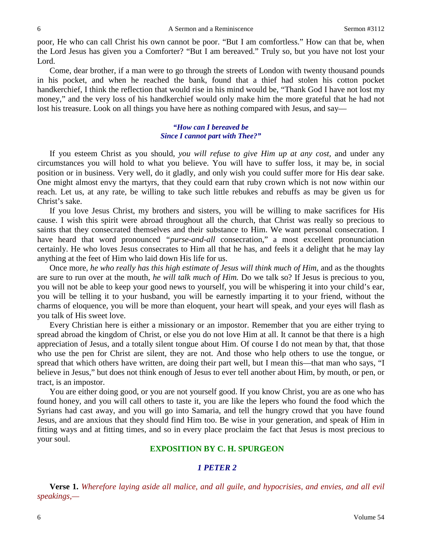poor, He who can call Christ his own cannot be poor. "But I am comfortless." How can that be, when the Lord Jesus has given you a Comforter? "But I am bereaved." Truly so, but you have not lost your Lord.

Come, dear brother, if a man were to go through the streets of London with twenty thousand pounds in his pocket, and when he reached the bank, found that a thief had stolen his cotton pocket handkerchief, I think the reflection that would rise in his mind would be, "Thank God I have not lost my money," and the very loss of his handkerchief would only make him the more grateful that he had not lost his treasure. Look on all things you have here as nothing compared with Jesus, and say—

### *"How can I bereaved be Since I cannot part with Thee?"*

If you esteem Christ as you should, *you will refuse to give Him up at any cost,* and under any circumstances you will hold to what you believe. You will have to suffer loss, it may be, in social position or in business. Very well, do it gladly, and only wish you could suffer more for His dear sake. One might almost envy the martyrs, that they could earn that ruby crown which is not now within our reach. Let us, at any rate, be willing to take such little rebukes and rebuffs as may be given us for Christ's sake.

If you love Jesus Christ, my brothers and sisters, you will be willing to make sacrifices for His cause. I wish this spirit were abroad throughout all the church, that Christ was really so precious to saints that they consecrated themselves and their substance to Him. We want personal consecration. I have heard that word pronounced *"purse-and-all* consecration," a most excellent pronunciation certainly. He who loves Jesus consecrates to Him all that he has, and feels it a delight that he may lay anything at the feet of Him who laid down His life for us.

Once more, *he who really has this high estimate of Jesus will think much of Him,* and as the thoughts are sure to run over at the mouth, *he will talk much of Him.* Do we talk so? If Jesus is precious to you, you will not be able to keep your good news to yourself, you will be whispering it into your child's ear, you will be telling it to your husband, you will be earnestly imparting it to your friend, without the charms of eloquence, you will be more than eloquent, your heart will speak, and your eyes will flash as you talk of His sweet love.

Every Christian here is either a missionary or an impostor. Remember that you are either trying to spread abroad the kingdom of Christ, or else you do not love Him at all. It cannot be that there is a high appreciation of Jesus, and a totally silent tongue about Him. Of course I do not mean by that, that those who use the pen for Christ are silent, they are not. And those who help others to use the tongue, or spread that which others have written, are doing their part well, but I mean this—that man who says, "I believe in Jesus," but does not think enough of Jesus to ever tell another about Him, by mouth, or pen, or tract, is an impostor.

You are either doing good, or you are not yourself good. If you know Christ, you are as one who has found honey, and you will call others to taste it, you are like the lepers who found the food which the Syrians had cast away, and you will go into Samaria, and tell the hungry crowd that you have found Jesus, and are anxious that they should find Him too. Be wise in your generation, and speak of Him in fitting ways and at fitting times, and so in every place proclaim the fact that Jesus is most precious to your soul.

# **EXPOSITION BY C. H. SPURGEON**

## *1 PETER 2*

**Verse 1.** *Wherefore laying aside all malice, and all guile, and hypocrisies, and envies, and all evil speakings,—*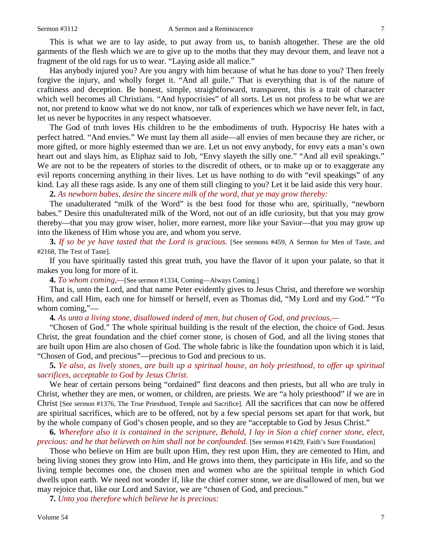This is what we are to lay aside, to put away from us, to banish altogether. These are the old garments of the flesh which we are to give up to the moths that they may devour them, and leave not a fragment of the old rags for us to wear. "Laying aside all malice."

Has anybody injured you? Are you angry with him because of what he has done to you? Then freely forgive the injury, and wholly forget it. "And all guile." That is everything that is of the nature of craftiness and deception. Be honest, simple, straightforward, transparent, this is a trait of character which well becomes all Christians. "And hypocrisies" of all sorts. Let us not profess to be what we are not, nor pretend to know what we do not know, nor talk of experiences which we have never felt, in fact, let us never be hypocrites in any respect whatsoever.

The God of truth loves His children to be the embodiments of truth. Hypocrisy He hates with a perfect hatred. "And envies." We must lay them all aside—all envies of men because they are richer, or more gifted, or more highly esteemed than we are. Let us not envy anybody, for envy eats a man's own heart out and slays him, as Eliphaz said to Job, "Envy slayeth the silly one." "And all evil speakings." We are not to be the repeaters of stories to the discredit of others, or to make up or to exaggerate any evil reports concerning anything in their lives. Let us have nothing to do with "evil speakings" of any kind. Lay all these rags aside. Is any one of them still clinging to you? Let it be laid aside this very hour.

**2.** *As newborn babes, desire the sincere milk of the word, that ye may grow thereby:*

The unadulterated "milk of the Word" is the best food for those who are, spiritually, "newborn babes." Desire this unadulterated milk of the Word, not out of an idle curiosity, but that you may grow thereby—that you may grow wiser, holier, more earnest, more like your Savior—that you may grow up into the likeness of Him whose you are, and whom you serve.

**3.** *If so be ye have tasted that the Lord is gracious.* [See sermons #459, A Sermon for Men of Taste, and #2168, The Test of Taste]*.* 

If you have spiritually tasted this great truth, you have the flavor of it upon your palate, so that it makes you long for more of it.

**4.** *To whom coming,—*[See sermon #1334, Coming—Always Coming.]

That is, unto the Lord, and that name Peter evidently gives to Jesus Christ, and therefore we worship Him, and call Him, each one for himself or herself, even as Thomas did, "My Lord and my God." "To whom coming,"—

**4***. As unto a living stone, disallowed indeed of men, but chosen of God, and precious,—*

"Chosen of God." The whole spiritual building is the result of the election, the choice of God. Jesus Christ, the great foundation and the chief corner stone, is chosen of God, and all the living stones that are built upon Him are also chosen of God. The whole fabric is like the foundation upon which it is laid, "Chosen of God, and precious"—precious to God and precious to us.

**5.** *Ye also, as lively stones, are built up a spiritual house, an holy priesthood, to offer up spiritual sacrifices, acceptable to God by Jesus Christ.*

We hear of certain persons being "ordained" first deacons and then priests, but all who are truly in Christ, whether they are men, or women, or children, are priests. We are "a holy priesthood" if we are in Christ [See sermon #1376, The True Priesthood, Temple and Sacrifice]. All the sacrifices that can now be offered are spiritual sacrifices, which are to be offered, not by a few special persons set apart for that work, but by the whole company of God's chosen people, and so they are "acceptable to God by Jesus Christ."

**6.** *Wherefore also it is contained in the scripture, Behold, I lay in Sion a chief corner stone, elect, precious: and he that believeth on him shall not be confounded.* [See sermon #1429, Faith's Sure Foundation]

Those who believe on Him are built upon Him, they rest upon Him, they are cemented to Him, and being living stones they grow into Him, and He grows into them, they participate in His life, and so the living temple becomes one, the chosen men and women who are the spiritual temple in which God dwells upon earth. We need not wonder if, like the chief corner stone, we are disallowed of men, but we may rejoice that, like our Lord and Savior, we are "chosen of God, and precious."

**7.** *Unto you therefore which believe he is precious:*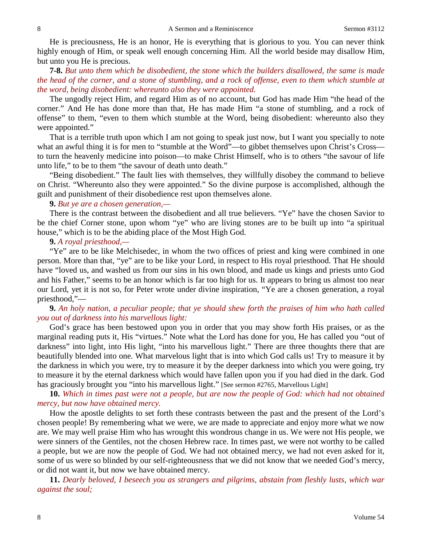He is preciousness, He is an honor, He is everything that is glorious to you. You can never think highly enough of Him, or speak well enough concerning Him. All the world beside may disallow Him, but unto you He is precious.

**7-8.** *But unto them which be disobedient, the stone which the builders disallowed, the same is made the head of the corner, and a stone of stumbling, and a rock of offense, even to them which stumble at the word, being disobedient: whereunto also they were appointed.*

The ungodly reject Him, and regard Him as of no account, but God has made Him "the head of the corner." And He has done more than that, He has made Him "a stone of stumbling, and a rock of offense" to them, "even to them which stumble at the Word, being disobedient: whereunto also they were appointed."

That is a terrible truth upon which I am not going to speak just now, but I want you specially to note what an awful thing it is for men to "stumble at the Word"—to gibbet themselves upon Christ's Cross to turn the heavenly medicine into poison—to make Christ Himself, who is to others "the savour of life unto life," to be to them "the savour of death unto death."

"Being disobedient." The fault lies with themselves, they willfully disobey the command to believe on Christ. "Whereunto also they were appointed." So the divine purpose is accomplished, although the guilt and punishment of their disobedience rest upon themselves alone.

### **9.** *But ye are a chosen generation,—*

There is the contrast between the disobedient and all true believers. "Ye" have the chosen Savior to be the chief Corner stone, upon whom "ye" who are living stones are to be built up into "a spiritual house," which is to be the abiding place of the Most High God.

#### **9.** *A royal priesthood,—*

"Ye" are to be like Melchisedec, in whom the two offices of priest and king were combined in one person. More than that, "ye" are to be like your Lord, in respect to His royal priesthood. That He should have "loved us, and washed us from our sins in his own blood, and made us kings and priests unto God and his Father," seems to be an honor which is far too high for us. It appears to bring us almost too near our Lord, yet it is not so, for Peter wrote under divine inspiration, "Ye are a chosen generation, a royal priesthood,"—

## **9.** *An holy nation, a peculiar people; that ye should shew forth the praises of him who hath called you out of darkness into his marvellous light:*

God's grace has been bestowed upon you in order that you may show forth His praises, or as the marginal reading puts it, His "virtues." Note what the Lord has done for you, He has called you "out of darkness" into light, into His light, "into his marvellous light." There are three thoughts there that are beautifully blended into one. What marvelous light that is into which God calls us! Try to measure it by the darkness in which you were, try to measure it by the deeper darkness into which you were going, try to measure it by the eternal darkness which would have fallen upon you if you had died in the dark. God has graciously brought you "into his marvellous light." [See sermon #2765, Marvellous Light]

**10.** *Which in times past were not a people, but are now the people of God: which had not obtained mercy, but now have obtained mercy.*

How the apostle delights to set forth these contrasts between the past and the present of the Lord's chosen people! By remembering what we were, we are made to appreciate and enjoy more what we now are. We may well praise Him who has wrought this wondrous change in us. We were not His people, we were sinners of the Gentiles, not the chosen Hebrew race. In times past, we were not worthy to be called a people, but we are now the people of God. We had not obtained mercy, we had not even asked for it, some of us were so blinded by our self-righteousness that we did not know that we needed God's mercy, or did not want it, but now we have obtained mercy.

**11.** *Dearly beloved, I beseech you as strangers and pilgrims, abstain from fleshly lusts, which war against the soul;*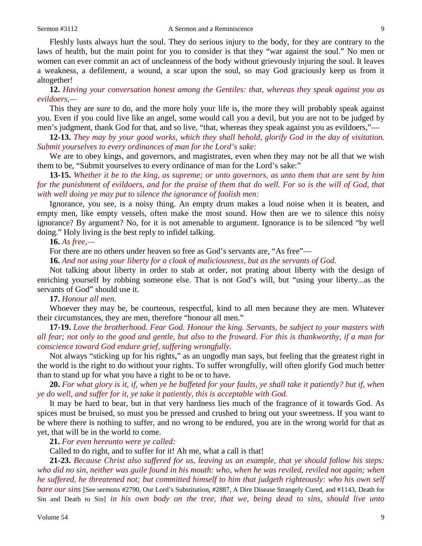Fleshly lusts always hurt the soul. They do serious injury to the body, for they are contrary to the laws of health, but the main point for you to consider is that they "war against the soul." No men or women can ever commit an act of uncleanness of the body without grievously injuring the soul. It leaves a weakness, a defilement, a wound, a scar upon the soul, so may God graciously keep us from it altogether!

**12.** *Having your conversation honest among the Gentiles: that, whereas they speak against you as evildoers,—*

This they are sure to do, and the more holy your life is, the more they will probably speak against you. Even if you could live like an angel, some would call you a devil, but you are not to be judged by men's judgment, thank God for that, and so live, "that, whereas they speak against you as evildoers,"—

**12-13.** *They may by your good works, which they shall behold, glorify God in the day of visitation. Submit yourselves to every ordinances of man for the Lord's sake:*

We are to obey kings, and governors, and magistrates, even when they may not be all that we wish them to be, "Submit yourselves to every ordinance of man for the Lord's sake:"

**13-15.** *Whether it be to the king, as supreme; or unto governors, as unto them that are sent by him for the punishment of evildoers, and for the praise of them that do well. For so is the will of God, that with well doing ye may put to silence the ignorance of foolish men:*

Ignorance, you see, is a noisy thing. An empty drum makes a loud noise when it is beaten, and empty men, like empty vessels, often make the most sound. How then are we to silence this noisy ignorance? By argument? No, for it is not amenable to argument. Ignorance is to be silenced "by well doing." Holy living is the best reply to infidel talking.

#### **16.** *As free,—*

For there are no others under heaven so free as God's servants are, "As free"—

**16.** *And not using your liberty for a cloak of maliciousness, but as the servants of God.*

Not talking about liberty in order to stab at order, not prating about liberty with the design of enriching yourself by robbing someone else. That is not God's will, but "using your liberty...as the servants of God" should use it.

### **17.** *Honour all men.*

Whoever they may be, be courteous, respectful, kind to all men because they are men. Whatever their circumstances, they are men, therefore "honour all men."

**17-19.** *Love the brotherhood. Fear God. Honour the king. Servants, be subject to your masters with all fear; not only to the good and gentle, but also to the froward. For this is thankworthy, if a man for conscience toward God endure grief, suffering wrongfully.*

Not always "sticking up for his rights," as an ungodly man says, but feeling that the greatest right in the world is the right to do without your rights. To suffer wrongfully, will often glorify God much better than to stand up for what you have a right to be or to have.

**20.** *For what glory is it, if, when ye be buffeted for your faults, ye shall take it patiently? but if, when ye do well, and suffer for it, ye take it patiently, this is acceptable with God.*

It may be hard to bear, but in that very hardness lies much of the fragrance of it towards God. As spices must be bruised, so must you be pressed and crushed to bring out your sweetness. If you want to be where there is nothing to suffer, and no wrong to be endured, you are in the wrong world for that as yet, that will be in the world to come.

**21.** *For even hereunto were ye called:*

Called to do right, and to suffer for it! Ah me, what a call is that!

**21-23.** *Because Christ also suffered for us, leaving us an example, that ye should follow his steps: who did no sin, neither was guile found in his mouth: who, when he was reviled, reviled not again; when he suffered, he threatened not; but committed himself to him that judgeth righteously: who his own self bare our sins* [See sermons #2790, Our Lord's Substitution, #2887, A Dire Disease Strangely Cured, and #1143, Death for Sin and Death to Sin] *in his own body on the tree, that we, being dead to sins, should live unto*